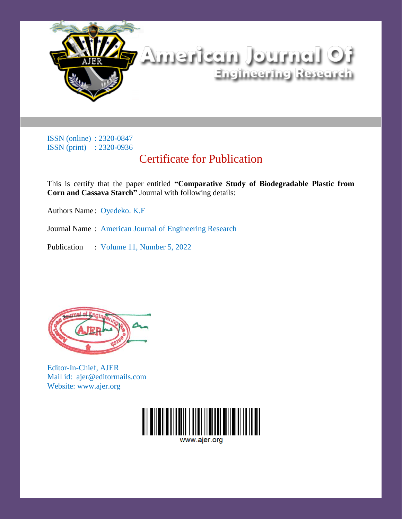

## Certificate for Publication

This is certify that the paper entitled **"Comparative Study of Biodegradable Plastic from Corn and Cassava Starch"** Journal with following details:

Authors Name : Oyedeko. K.F

Journal Name : American Journal of Engineering Research

Publication : Volume 11, Number 5, 2022



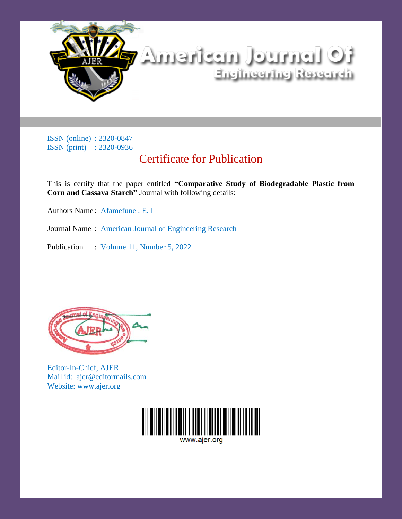

## Certificate for Publication

This is certify that the paper entitled **"Comparative Study of Biodegradable Plastic from Corn and Cassava Starch"** Journal with following details:

Authors Name : Afamefune . E. I

Journal Name : American Journal of Engineering Research

Publication : Volume 11, Number 5, 2022



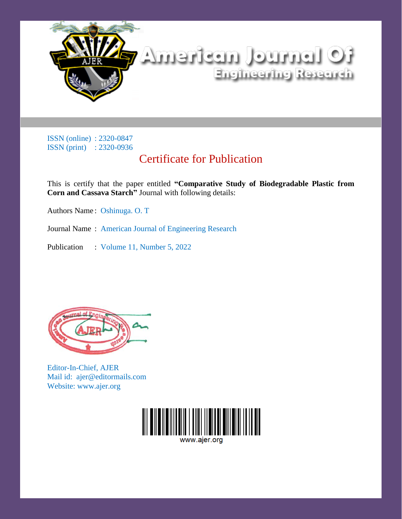

## Certificate for Publication

This is certify that the paper entitled **"Comparative Study of Biodegradable Plastic from Corn and Cassava Starch"** Journal with following details:

Authors Name : Oshinuga. O. T

Journal Name : American Journal of Engineering Research

Publication : Volume 11, Number 5, 2022